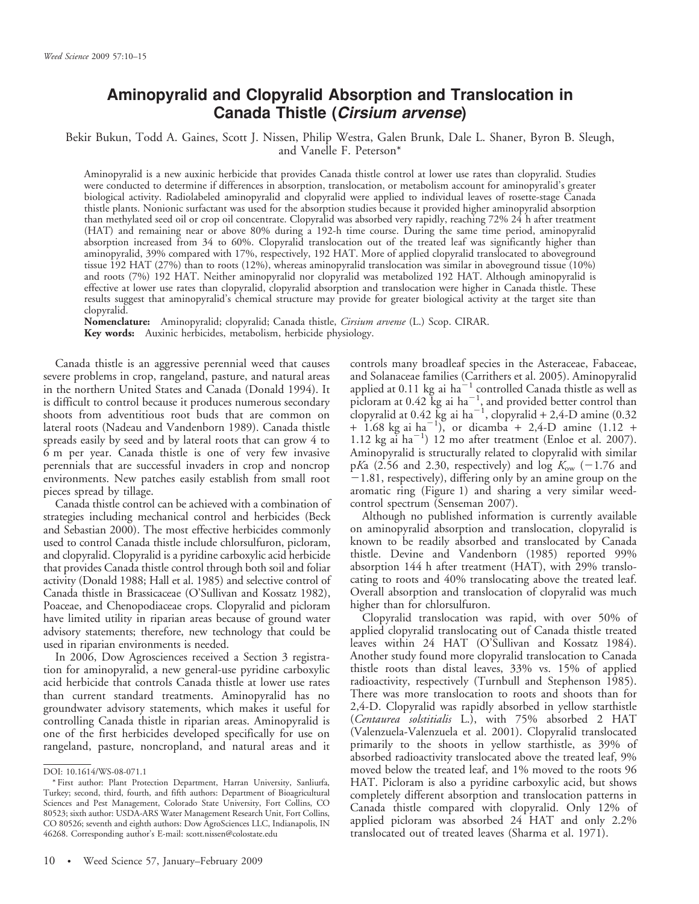# Aminopyralid and Clopyralid Absorption and Translocation in Canada Thistle (Cirsium arvense)

## Bekir Bukun, Todd A. Gaines, Scott J. Nissen, Philip Westra, Galen Brunk, Dale L. Shaner, Byron B. Sleugh, and Vanelle F. Peterson\*

Aminopyralid is a new auxinic herbicide that provides Canada thistle control at lower use rates than clopyralid. Studies were conducted to determine if differences in absorption, translocation, or metabolism account for aminopyralid's greater biological activity. Radiolabeled aminopyralid and clopyralid were applied to individual leaves of rosette-stage Canada thistle plants. Nonionic surfactant was used for the absorption studies because it provided higher aminopyralid absorption than methylated seed oil or crop oil concentrate. Clopyralid was absorbed very rapidly, reaching 72% 24 h after treatment (HAT) and remaining near or above 80% during a 192-h time course. During the same time period, aminopyralid absorption increased from 34 to 60%. Clopyralid translocation out of the treated leaf was significantly higher than aminopyralid, 39% compared with 17%, respectively, 192 HAT. More of applied clopyralid translocated to aboveground tissue 192 HAT (27%) than to roots (12%), whereas aminopyralid translocation was similar in aboveground tissue (10%) and roots (7%) 192 HAT. Neither aminopyralid nor clopyralid was metabolized 192 HAT. Although aminopyralid is effective at lower use rates than clopyralid, clopyralid absorption and translocation were higher in Canada thistle. These results suggest that aminopyralid's chemical structure may provide for greater biological activity at the target site than clopyralid.

Nomenclature: Aminopyralid; clopyralid; Canada thistle, *Cirsium arvense* (L.) Scop. CIRAR. Key words: Auxinic herbicides, metabolism, herbicide physiology.

Canada thistle is an aggressive perennial weed that causes severe problems in crop, rangeland, pasture, and natural areas in the northern United States and Canada (Donald 1994). It is difficult to control because it produces numerous secondary shoots from adventitious root buds that are common on lateral roots (Nadeau and Vandenborn 1989). Canada thistle spreads easily by seed and by lateral roots that can grow 4 to 6 m per year. Canada thistle is one of very few invasive perennials that are successful invaders in crop and noncrop environments. New patches easily establish from small root pieces spread by tillage.

Canada thistle control can be achieved with a combination of strategies including mechanical control and herbicides (Beck and Sebastian 2000). The most effective herbicides commonly used to control Canada thistle include chlorsulfuron, picloram, and clopyralid. Clopyralid is a pyridine carboxylic acid herbicide that provides Canada thistle control through both soil and foliar activity (Donald 1988; Hall et al. 1985) and selective control of Canada thistle in Brassicaceae (O'Sullivan and Kossatz 1982), Poaceae, and Chenopodiaceae crops. Clopyralid and picloram have limited utility in riparian areas because of ground water advisory statements; therefore, new technology that could be used in riparian environments is needed.

In 2006, Dow Agrosciences received a Section 3 registration for aminopyralid, a new general-use pyridine carboxylic acid herbicide that controls Canada thistle at lower use rates than current standard treatments. Aminopyralid has no groundwater advisory statements, which makes it useful for controlling Canada thistle in riparian areas. Aminopyralid is one of the first herbicides developed specifically for use on rangeland, pasture, noncropland, and natural areas and it controls many broadleaf species in the Asteraceae, Fabaceae, and Solanaceae families (Carrithers et al. 2005). Aminopyralid applied at 0.11 kg ai  $ha^{-1}$  controlled Canada thistle as well as picloram at  $0.42 \text{ kg}$  ai  $\text{ha}^{-1}$ , and provided better control than clopyralid at  $0.42~{\rm kg}$  ai ha $^{-1}$ , clopyralid + 2,4-D amine (0.32)  $+$  1.68 kg ai ha<sup>-1</sup>), or dicamba + 2,4-D amine (1.12 +  $1.12 \text{ kg}$  ai ha<sup>-1</sup>) 12 mo after treatment (Enloe et al. 2007). Aminopyralid is structurally related to clopyralid with similar pKa (2.56 and 2.30, respectively) and log  $K_{ow}$  (-1.76 and  $-1.81$ , respectively), differing only by an amine group on the aromatic ring (Figure 1) and sharing a very similar weedcontrol spectrum (Senseman 2007).

Although no published information is currently available on aminopyralid absorption and translocation, clopyralid is known to be readily absorbed and translocated by Canada thistle. Devine and Vandenborn (1985) reported 99% absorption 144 h after treatment (HAT), with 29% translocating to roots and 40% translocating above the treated leaf. Overall absorption and translocation of clopyralid was much higher than for chlorsulfuron.

Clopyralid translocation was rapid, with over 50% of applied clopyralid translocating out of Canada thistle treated leaves within 24 HAT (O'Sullivan and Kossatz 1984). Another study found more clopyralid translocation to Canada thistle roots than distal leaves, 33% vs. 15% of applied radioactivity, respectively (Turnbull and Stephenson 1985). There was more translocation to roots and shoots than for 2,4-D. Clopyralid was rapidly absorbed in yellow starthistle (Centaurea solstitialis L.), with 75% absorbed 2 HAT (Valenzuela-Valenzuela et al. 2001). Clopyralid translocated primarily to the shoots in yellow starthistle, as 39% of absorbed radioactivity translocated above the treated leaf, 9% moved below the treated leaf, and 1% moved to the roots 96 HAT. Picloram is also a pyridine carboxylic acid, but shows completely different absorption and translocation patterns in Canada thistle compared with clopyralid. Only 12% of applied picloram was absorbed 24 HAT and only 2.2% translocated out of treated leaves (Sharma et al. 1971).

DOI: 10.1614/WS-08-071.1

<sup>\*</sup> First author: Plant Protection Department, Harran University, Sanliurfa, Turkey; second, third, fourth, and fifth authors: Department of Bioagricultural Sciences and Pest Management, Colorado State University, Fort Collins, CO 80523; sixth author: USDA-ARS Water Management Research Unit, Fort Collins, CO 80526; seventh and eighth authors: Dow AgroSciences LLC, Indianapolis, IN 46268. Corresponding author's E-mail: scott.nissen@colostate.edu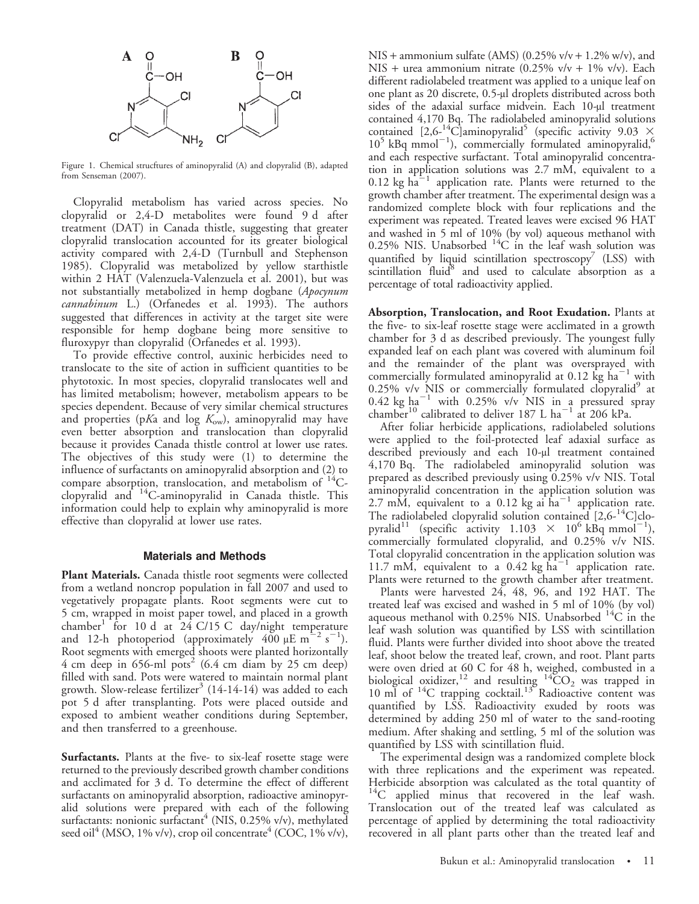

Figure 1. Chemical strucftures of aminopyralid (A) and clopyralid (B), adapted from Senseman (2007).

Clopyralid metabolism has varied across species. No clopyralid or 2,4-D metabolites were found 9 d after treatment (DAT) in Canada thistle, suggesting that greater clopyralid translocation accounted for its greater biological activity compared with 2,4-D (Turnbull and Stephenson 1985). Clopyralid was metabolized by yellow starthistle within 2 HAT (Valenzuela-Valenzuela et al. 2001), but was not substantially metabolized in hemp dogbane (Apocynum cannabinum L.) (Orfanedes et al. 1993). The authors suggested that differences in activity at the target site were responsible for hemp dogbane being more sensitive to fluroxypyr than clopyralid (Orfanedes et al. 1993).

To provide effective control, auxinic herbicides need to translocate to the site of action in sufficient quantities to be phytotoxic. In most species, clopyralid translocates well and has limited metabolism; however, metabolism appears to be species dependent. Because of very similar chemical structures and properties (pKa and log  $K_{\text{ow}}$ ), aminopyralid may have even better absorption and translocation than clopyralid because it provides Canada thistle control at lower use rates. The objectives of this study were (1) to determine the influence of surfactants on aminopyralid absorption and (2) to compare absorption, translocation, and metabolism of  $^{14}$ Cclopyralid and 14C-aminopyralid in Canada thistle. This information could help to explain why aminopyralid is more effective than clopyralid at lower use rates.

#### Materials and Methods

Plant Materials. Canada thistle root segments were collected from a wetland noncrop population in fall 2007 and used to vegetatively propagate plants. Root segments were cut to 5 cm, wrapped in moist paper towel, and placed in a growth chamber<sup>1</sup> for 10 d at 24 C/15 C day/night temperature and 12-h photoperiod (approximately  $400 \mu E \text{ m}^{-2} \text{ s}^{-1}$ ). Root segments with emerged shoots were planted horizontally 4 cm deep in 656-ml pots<sup>2</sup> (6.4 cm diam by 25 cm deep) filled with sand. Pots were watered to maintain normal plant growth. Slow-release fertilizer<sup>3</sup> (14-14-14) was added to each pot 5 d after transplanting. Pots were placed outside and exposed to ambient weather conditions during September, and then transferred to a greenhouse.

Surfactants. Plants at the five- to six-leaf rosette stage were returned to the previously described growth chamber conditions and acclimated for 3 d. To determine the effect of different surfactants on aminopyralid absorption, radioactive aminopyralid solutions were prepared with each of the following surfactants: nonionic surfactant<sup>4</sup> (NIS, 0.25% v/v), methylated seed oil<sup>4</sup> (MSO, 1% v/v), crop oil concentrate<sup>4</sup> (COC, 1% v/v),

NIS + ammonium sulfate (AMS) (0.25%  $v/v + 1.2$ % w/v), and NIS + urea ammonium nitrate  $(0.25\% \text{ v/v} + 1\% \text{ v/v})$ . Each different radiolabeled treatment was applied to a unique leaf on one plant as 20 discrete, 0.5-µl droplets distributed across both sides of the adaxial surface midvein. Each 10-µl treatment contained 4,170 Bq. The radiolabeled aminopyralid solutions contained  $[2,6^{-14}C]$ aminopyralid<sup>5</sup> (specific activity 9.03  $\times$  $10^5$  kBq mmol<sup>-1</sup>), commercially formulated aminopyralid,<sup>6</sup> and each respective surfactant. Total aminopyralid concentration in application solutions was 2.7 mM, equivalent to a  $0.12$  kg ha<sup>-1</sup> application rate. Plants were returned to the growth chamber after treatment. The experimental design was a randomized complete block with four replications and the experiment was repeated. Treated leaves were excised 96 HAT and washed in 5 ml of 10% (by vol) aqueous methanol with 0.25% NIS. Unabsorbed  ${}^{14}C$  in the leaf wash solution was quantified by liquid scintillation spectroscopy<sup> $\prime$ </sup> (LSS) with scintillation fluid<sup>8</sup> and used to calculate absorption as a percentage of total radioactivity applied.

Absorption, Translocation, and Root Exudation. Plants at the five- to six-leaf rosette stage were acclimated in a growth chamber for 3 d as described previously. The youngest fully expanded leaf on each plant was covered with aluminum foil and the remainder of the plant was oversprayed with commercially formulated aminopyralid at 0.12  $\text{kg}$  ha<sup>-1</sup> with 0.25% v/v NIS or commercially formulated clopyralid $9$  at 0.42 kg ha<sup>-1</sup> with 0.25% v/v NIS in a pressured spray chamber<sup>10</sup> calibrated to deliver 187 L ha<sup>-1</sup> at 206 kPa.

After foliar herbicide applications, radiolabeled solutions were applied to the foil-protected leaf adaxial surface as described previously and each 10-µl treatment contained 4,170 Bq. The radiolabeled aminopyralid solution was prepared as described previously using 0.25% v/v NIS. Total aminopyralid concentration in the application solution was 2.7 mM, equivalent to a 0.12 kg ai  $\bar{h}a^{-1}$  application rate. The radiolabeled clopyralid solution contained  $[2,6^{-14}C]$ clopyralid<sup>11</sup> (specific activity  $1.103 \times 10^6$  kBq mmol<sup>-1</sup>), commercially formulated clopyralid, and 0.25% v/v NIS. Total clopyralid concentration in the application solution was 11.7 mM, equivalent to a  $0.42 \text{ kg ha}^{-1}$  application rate. Plants were returned to the growth chamber after treatment.

Plants were harvested 24, 48, 96, and 192 HAT. The treated leaf was excised and washed in 5 ml of 10% (by vol) aqueous methanol with 0.25% NIS. Unabsorbed  $^{14}C$  in the leaf wash solution was quantified by LSS with scintillation fluid. Plants were further divided into shoot above the treated leaf, shoot below the treated leaf, crown, and root. Plant parts were oven dried at 60 C for 48 h, weighed, combusted in a biological oxidizer,<sup>12</sup> and resulting  $\frac{14^{9}CO_{2}}{14}$  was trapped in 10 ml of <sup>14</sup>C trapping cocktail.<sup>13</sup> Radioactive content was quantified by LSS. Radioactivity exuded by roots was determined by adding 250 ml of water to the sand-rooting medium. After shaking and settling, 5 ml of the solution was quantified by LSS with scintillation fluid.

The experimental design was a randomized complete block with three replications and the experiment was repeated. Herbicide absorption was calculated as the total quantity of  $14$ C applied minus that recovered in the leaf wash. Translocation out of the treated leaf was calculated as percentage of applied by determining the total radioactivity recovered in all plant parts other than the treated leaf and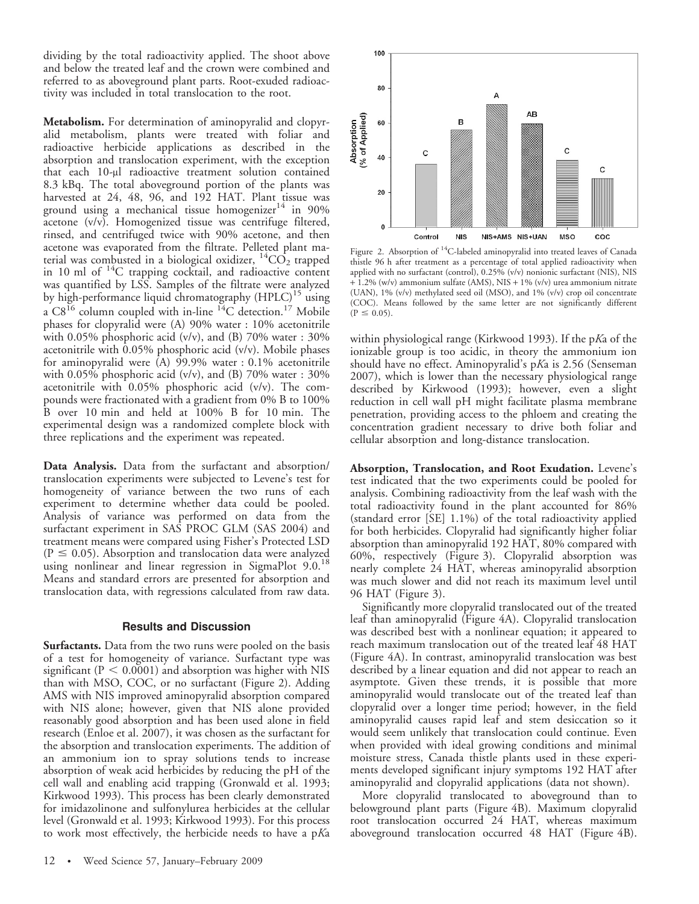dividing by the total radioactivity applied. The shoot above and below the treated leaf and the crown were combined and referred to as aboveground plant parts. Root-exuded radioactivity was included in total translocation to the root.

Metabolism. For determination of aminopyralid and clopyralid metabolism, plants were treated with foliar and radioactive herbicide applications as described in the absorption and translocation experiment, with the exception that each 10-µl radioactive treatment solution contained 8.3 kBq. The total aboveground portion of the plants was harvested at 24, 48, 96, and 192 HAT. Plant tissue was ground using a mechanical tissue homogenizer<sup>14</sup> in 90% acetone (v/v). Homogenized tissue was centrifuge filtered, rinsed, and centrifuged twice with 90% acetone, and then acetone was evaporated from the filtrate. Pelleted plant material was combusted in a biological oxidizer,  ${}^{14}CO_2$  trapped in 10 ml of <sup>14</sup>C trapping cocktail, and radioactive content was quantified by LSS. Samples of the filtrate were analyzed by high-performance liquid chromatography (HPLC)<sup>15</sup> using a  $C8^{16}$  column coupled with in-line  $^{14}C$  detection.<sup>17</sup> Mobile phases for clopyralid were (A) 90% water : 10% acetonitrile with 0.05% phosphoric acid (v/v), and (B) 70% water : 30% acetonitrile with 0.05% phosphoric acid (v/v). Mobile phases for aminopyralid were (A) 99.9% water : 0.1% acetonitrile with 0.05% phosphoric acid (v/v), and (B) 70% water : 30% acetonitrile with 0.05% phosphoric acid (v/v). The compounds were fractionated with a gradient from 0% B to 100% B over 10 min and held at 100% B for 10 min. The experimental design was a randomized complete block with three replications and the experiment was repeated.

Data Analysis. Data from the surfactant and absorption/ translocation experiments were subjected to Levene's test for homogeneity of variance between the two runs of each experiment to determine whether data could be pooled. Analysis of variance was performed on data from the surfactant experiment in SAS PROC GLM (SAS 2004) and treatment means were compared using Fisher's Protected LSD  $(P \le 0.05)$ . Absorption and translocation data were analyzed using nonlinear and linear regression in SigmaPlot 9.0.<sup>18</sup> Means and standard errors are presented for absorption and translocation data, with regressions calculated from raw data.

#### Results and Discussion

Surfactants. Data from the two runs were pooled on the basis of a test for homogeneity of variance. Surfactant type was significant ( $P < 0.0001$ ) and absorption was higher with NIS than with MSO, COC, or no surfactant (Figure 2). Adding AMS with NIS improved aminopyralid absorption compared with NIS alone; however, given that NIS alone provided reasonably good absorption and has been used alone in field research (Enloe et al. 2007), it was chosen as the surfactant for the absorption and translocation experiments. The addition of an ammonium ion to spray solutions tends to increase absorption of weak acid herbicides by reducing the pH of the cell wall and enabling acid trapping (Gronwald et al. 1993; Kirkwood 1993). This process has been clearly demonstrated for imidazolinone and sulfonylurea herbicides at the cellular level (Gronwald et al. 1993; Kirkwood 1993). For this process to work most effectively, the herbicide needs to have a pKa



Figure 2. Absorption of 14C-labeled aminopyralid into treated leaves of Canada thistle 96 h after treatment as a percentage of total applied radioactivity when applied with no surfactant (control), 0.25% (v/v) nonionic surfactant (NIS), NIS + 1.2% (w/v) ammonium sulfate (AMS), NIS + 1% (v/v) urea ammonium nitrate (UAN), 1% (v/v) methylated seed oil (MSO), and 1% (v/v) crop oil concentrate (COC). Means followed by the same letter are not significantly different  $(P \le 0.05)$ .

within physiological range (Kirkwood 1993). If the pKa of the ionizable group is too acidic, in theory the ammonium ion should have no effect. Aminopyralid's pKa is 2.56 (Senseman 2007), which is lower than the necessary physiological range described by Kirkwood (1993); however, even a slight reduction in cell wall pH might facilitate plasma membrane penetration, providing access to the phloem and creating the concentration gradient necessary to drive both foliar and cellular absorption and long-distance translocation.

Absorption, Translocation, and Root Exudation. Levene's test indicated that the two experiments could be pooled for analysis. Combining radioactivity from the leaf wash with the total radioactivity found in the plant accounted for 86% (standard error [SE] 1.1%) of the total radioactivity applied for both herbicides. Clopyralid had significantly higher foliar absorption than aminopyralid 192 HAT, 80% compared with 60%, respectively (Figure 3). Clopyralid absorption was nearly complete 24 HAT, whereas aminopyralid absorption was much slower and did not reach its maximum level until 96 HAT (Figure 3).

Significantly more clopyralid translocated out of the treated leaf than aminopyralid (Figure 4A). Clopyralid translocation was described best with a nonlinear equation; it appeared to reach maximum translocation out of the treated leaf 48 HAT (Figure 4A). In contrast, aminopyralid translocation was best described by a linear equation and did not appear to reach an asymptote. Given these trends, it is possible that more aminopyralid would translocate out of the treated leaf than clopyralid over a longer time period; however, in the field aminopyralid causes rapid leaf and stem desiccation so it would seem unlikely that translocation could continue. Even when provided with ideal growing conditions and minimal moisture stress, Canada thistle plants used in these experiments developed significant injury symptoms 192 HAT after aminopyralid and clopyralid applications (data not shown).

More clopyralid translocated to aboveground than to belowground plant parts (Figure 4B). Maximum clopyralid root translocation occurred 24 HAT, whereas maximum aboveground translocation occurred 48 HAT (Figure 4B).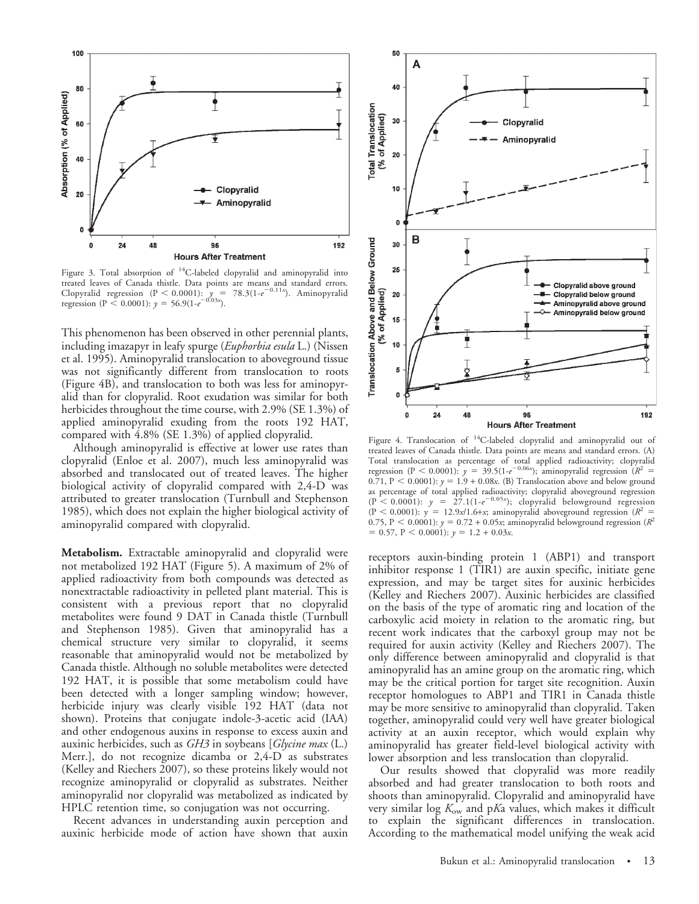

Figure 3. Total absorption of <sup>14</sup>C-labeled clopyralid and aminopyralid into treated leaves of Canada thistle. Data points are means and standard errors. Clopyralid regression (P < 0.0001):  $y = 78.3(1-e^{-0.11x})$ . Aminopyralid regression (P < 0.0001):  $y = 56.9(1-e^{-0.03x})$ .

This phenomenon has been observed in other perennial plants, including imazapyr in leafy spurge (Euphorbia esula L.) (Nissen et al. 1995). Aminopyralid translocation to aboveground tissue was not significantly different from translocation to roots (Figure 4B), and translocation to both was less for aminopyralid than for clopyralid. Root exudation was similar for both herbicides throughout the time course, with 2.9% (SE 1.3%) of applied aminopyralid exuding from the roots 192 HAT, compared with 4.8% (SE 1.3%) of applied clopyralid.

Although aminopyralid is effective at lower use rates than clopyralid (Enloe et al. 2007), much less aminopyralid was absorbed and translocated out of treated leaves. The higher biological activity of clopyralid compared with 2,4-D was attributed to greater translocation (Turnbull and Stephenson 1985), which does not explain the higher biological activity of aminopyralid compared with clopyralid.

Metabolism. Extractable aminopyralid and clopyralid were not metabolized 192 HAT (Figure 5). A maximum of 2% of applied radioactivity from both compounds was detected as nonextractable radioactivity in pelleted plant material. This is consistent with a previous report that no clopyralid metabolites were found 9 DAT in Canada thistle (Turnbull and Stephenson 1985). Given that aminopyralid has a chemical structure very similar to clopyralid, it seems reasonable that aminopyralid would not be metabolized by Canada thistle. Although no soluble metabolites were detected 192 HAT, it is possible that some metabolism could have been detected with a longer sampling window; however, herbicide injury was clearly visible 192 HAT (data not shown). Proteins that conjugate indole-3-acetic acid (IAA) and other endogenous auxins in response to excess auxin and auxinic herbicides, such as  $GH3$  in soybeans [*Glycine max* (L.) Merr.], do not recognize dicamba or 2,4-D as substrates (Kelley and Riechers 2007), so these proteins likely would not recognize aminopyralid or clopyralid as substrates. Neither aminopyralid nor clopyralid was metabolized as indicated by HPLC retention time, so conjugation was not occurring.

Recent advances in understanding auxin perception and auxinic herbicide mode of action have shown that auxin



Figure 4. Translocation of 14C-labeled clopyralid and aminopyralid out of treated leaves of Canada thistle. Data points are means and standard errors. (A) Total translocation as percentage of total applied radioactivity; clopyralid regression (P < 0.0001):  $y = 39.5(1-e^{-0.06x})$ ; aminopyralid regression  $(R^2 =$ 0.71, P < 0.0001):  $y = 1.9 + 0.08x$ . (B) Translocation above and below ground as percentage of total applied radioactivity; clopyralid aboveground regression  $(P< 0.0001)$ :  $y = 27.1(1-e^{-0.05x})$ ; clopyralid belowground regression  $(P < 0.0001)$ : y = 12.9x/1.6+x; aminopyralid aboveground regression  $(R^2 =$ 0.75, P < 0.0001):  $y = 0.72 + 0.05x$ ; aminopyralid belowground regression ( $R^2$  $= 0.57, P < 0.0001$ :  $y = 1.2 + 0.03x$ .

receptors auxin-binding protein 1 (ABP1) and transport inhibitor response 1 (TIR1) are auxin specific, initiate gene expression, and may be target sites for auxinic herbicides (Kelley and Riechers 2007). Auxinic herbicides are classified on the basis of the type of aromatic ring and location of the carboxylic acid moiety in relation to the aromatic ring, but recent work indicates that the carboxyl group may not be required for auxin activity (Kelley and Riechers 2007). The only difference between aminopyralid and clopyralid is that aminopyralid has an amine group on the aromatic ring, which may be the critical portion for target site recognition. Auxin receptor homologues to ABP1 and TIR1 in Canada thistle may be more sensitive to aminopyralid than clopyralid. Taken together, aminopyralid could very well have greater biological activity at an auxin receptor, which would explain why aminopyralid has greater field-level biological activity with lower absorption and less translocation than clopyralid.

Our results showed that clopyralid was more readily absorbed and had greater translocation to both roots and shoots than aminopyralid. Clopyralid and aminopyralid have very similar log  $K_{ow}$  and pKa values, which makes it difficult to explain the significant differences in translocation. According to the mathematical model unifying the weak acid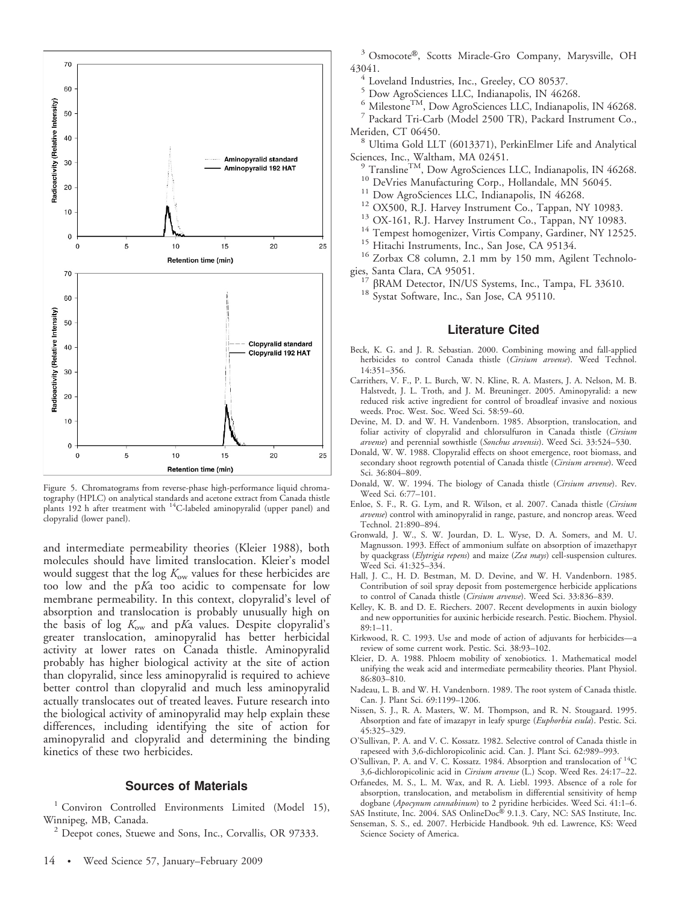

Figure 5. Chromatograms from reverse-phase high-performance liquid chromatography (HPLC) on analytical standards and acetone extract from Canada thistle plants 192 h after treatment with 14C-labeled aminopyralid (upper panel) and clopyralid (lower panel).

and intermediate permeability theories (Kleier 1988), both molecules should have limited translocation. Kleier's model would suggest that the log  $K_{\text{ow}}$  values for these herbicides are too low and the pKa too acidic to compensate for low membrane permeability. In this context, clopyralid's level of absorption and translocation is probably unusually high on the basis of log  $K_{\text{ow}}$  and pKa values. Despite clopyralid's greater translocation, aminopyralid has better herbicidal activity at lower rates on Canada thistle. Aminopyralid probably has higher biological activity at the site of action than clopyralid, since less aminopyralid is required to achieve better control than clopyralid and much less aminopyralid actually translocates out of treated leaves. Future research into the biological activity of aminopyralid may help explain these differences, including identifying the site of action for aminopyralid and clopyralid and determining the binding kinetics of these two herbicides.

#### Sources of Materials

<sup>1</sup> Conviron Controlled Environments Limited (Model 15), Winnipeg, MB, Canada. <sup>2</sup> Deepot cones, Stuewe and Sons, Inc., Corvallis, OR 97333.

<sup>3</sup> Osmocote®, Scotts Miracle-Gro Company, Marysville, OH 43041. <sup>4</sup> Loveland Industries, Inc., Greeley, CO 80537.

- 
- <sup>5</sup> Dow AgroSciences LLC, Indianapolis, IN 46268.
- <sup>6</sup> Milestone<sup>TM</sup>, Dow AgroSciences LLC, Indianapolis, IN 46268.<br><sup>7</sup> Packard Tri-Carb (Model 2500 TR), Packard Instrument Co.,

Meriden, CT 06450.<br><sup>8</sup> Ultima Gold LLT (6013371), PerkinElmer Life and Analytical

Sciences, Inc., Waltham, MA 02451.<br>
<sup>9</sup> Transline<sup>TM</sup>, Dow AgroSciences LLC, Indianapolis, IN 46268.<br>
<sup>10</sup> DeVries Manufacturing Corp., Hollandale, MN 56045.<br>
<sup>11</sup> Dow AgroSciences LLC, Indianapolis, IN 46268.<br>
<sup>12</sup> OX500,

- 
- 
- 
- 
- 
- 
- 

<sup>16</sup> Zorbax C8 column, 2.1 mm by 150 mm, Agilent Technologies, Santa Clara, CA 95051.

<sup>17</sup>  $\beta$ RAM Detector, IN/US Systems, Inc., Tampa, FL 33610. <sup>18</sup> Systat Software, Inc., San Jose, CA 95110.

### Literature Cited

- Beck, K. G. and J. R. Sebastian. 2000. Combining mowing and fall-applied herbicides to control Canada thistle (Cirsium arvense). Weed Technol. 14:351–356.
- Carrithers, V. F., P. L. Burch, W. N. Kline, R. A. Masters, J. A. Nelson, M. B. Halstvedt, J. L. Troth, and J. M. Breuninger. 2005. Aminopyralid: a new reduced risk active ingredient for control of broadleaf invasive and noxious weeds. Proc. West. Soc. Weed Sci. 58:59–60.
- Devine, M. D. and W. H. Vandenborn. 1985. Absorption, translocation, and foliar activity of clopyralid and chlorsulfuron in Canada thistle (Cirsium arvense) and perennial sowthistle (Sonchus arvensis). Weed Sci. 33:524–530.
- Donald, W. W. 1988. Clopyralid effects on shoot emergence, root biomass, and secondary shoot regrowth potential of Canada thistle (Cirsium arvense). Weed Sci. 36:804–809.
- Donald, W. W. 1994. The biology of Canada thistle (Cirsium arvense). Rev. Weed Sci. 6:77–101.
- Enloe, S. F., R. G. Lym, and R. Wilson, et al. 2007. Canada thistle (Cirsium arvense) control with aminopyralid in range, pasture, and noncrop areas. Weed Technol. 21:890–894.
- Gronwald, J. W., S. W. Jourdan, D. L. Wyse, D. A. Somers, and M. U. Magnusson. 1993. Effect of ammonium sulfate on absorption of imazethapyr by quackgrass (*Elytrigia repens*) and maize (Zea mays) cell-suspension cultures. Weed Sci. 41:325–334.
- Hall, J. C., H. D. Bestman, M. D. Devine, and W. H. Vandenborn. 1985. Contribution of soil spray deposit from postemergence herbicide applications to control of Canada thistle (Cirsium arvense). Weed Sci. 33:836–839.
- Kelley, K. B. and D. E. Riechers. 2007. Recent developments in auxin biology and new opportunities for auxinic herbicide research. Pestic. Biochem. Physiol. 89:1–11.
- Kirkwood, R. C. 1993. Use and mode of action of adjuvants for herbicidesreview of some current work. Pestic. Sci. 38:93–102.
- Kleier, D. A. 1988. Phloem mobility of xenobiotics. 1. Mathematical model unifying the weak acid and intermediate permeability theories. Plant Physiol. 86:803–810.
- Nadeau, L. B. and W. H. Vandenborn. 1989. The root system of Canada thistle. Can. J. Plant Sci. 69:1199–1206.
- Nissen, S. J., R. A. Masters, W. M. Thompson, and R. N. Stougaard. 1995. Absorption and fate of imazapyr in leafy spurge (Euphorbia esula). Pestic. Sci. 45:325–329.
- O'Sullivan, P. A. and V. C. Kossatz. 1982. Selective control of Canada thistle in rapeseed with 3,6-dichloropicolinic acid. Can. J. Plant Sci. 62:989–993.
- O'Sullivan, P. A. and V. C. Kossatz. 1984. Absorption and translocation of 14C 3,6-dichloropicolinic acid in Cirsium arvense (L.) Scop. Weed Res. 24:17-22.
- Orfanedes, M. S., L. M. Wax, and R. A. Liebl. 1993. Absence of a role for absorption, translocation, and metabolism in differential sensitivity of hemp dogbane (Apocynum cannabinum) to 2 pyridine herbicides. Weed Sci. 41:1-6.
- SAS Institute, Inc. 2004. SAS OnlineDoc® 9.1.3. Cary, NC: SAS Institute, Inc. Senseman, S. S., ed. 2007. Herbicide Handbook. 9th ed. Lawrence, KS: Weed Science Society of America.